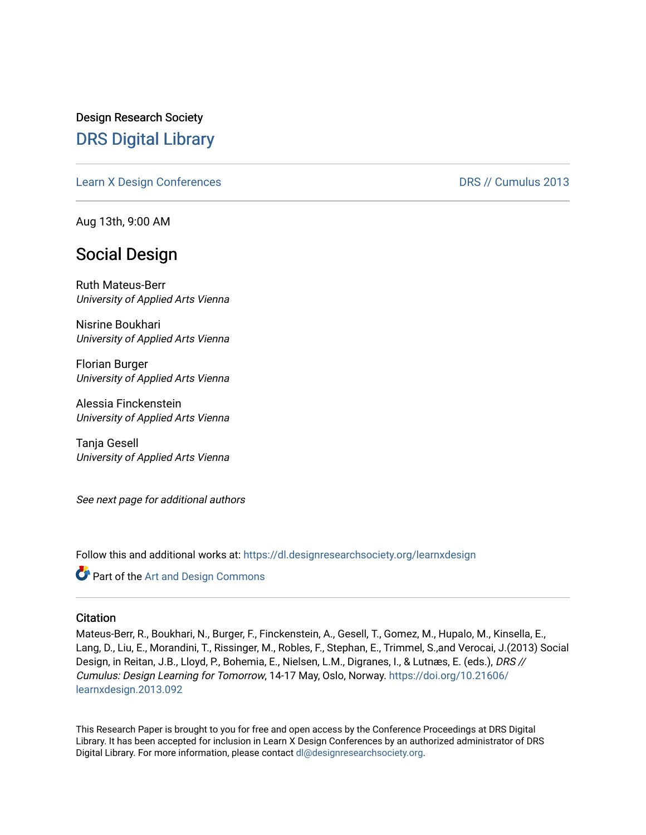Design Research Society [DRS Digital Library](https://dl.designresearchsociety.org/)

[Learn X Design Conferences](https://dl.designresearchsociety.org/learnxdesign) **DRS // Cumulus 2013** 

Aug 13th, 9:00 AM

## Social Design

Ruth Mateus-Berr University of Applied Arts Vienna

Nisrine Boukhari University of Applied Arts Vienna

Florian Burger University of Applied Arts Vienna

Alessia Finckenstein University of Applied Arts Vienna

Tanja Gesell University of Applied Arts Vienna

See next page for additional authors

Follow this and additional works at: [https://dl.designresearchsociety.org/learnxdesign](https://dl.designresearchsociety.org/learnxdesign?utm_source=dl.designresearchsociety.org%2Flearnxdesign%2Flearnxdesign2013%2Fresearchpapers%2F91&utm_medium=PDF&utm_campaign=PDFCoverPages)

**C** Part of the [Art and Design Commons](http://network.bepress.com/hgg/discipline/1049?utm_source=dl.designresearchsociety.org%2Flearnxdesign%2Flearnxdesign2013%2Fresearchpapers%2F91&utm_medium=PDF&utm_campaign=PDFCoverPages)

#### **Citation**

Mateus-Berr, R., Boukhari, N., Burger, F., Finckenstein, A., Gesell, T., Gomez, M., Hupalo, M., Kinsella, E., Lang, D., Liu, E., Morandini, T., Rissinger, M., Robles, F., Stephan, E., Trimmel, S.,and Verocai, J.(2013) Social Design, in Reitan, J.B., Lloyd, P., Bohemia, E., Nielsen, L.M., Digranes, I., & Lutnæs, E. (eds.), DRS // Cumulus: Design Learning for Tomorrow, 14-17 May, Oslo, Norway. [https://doi.org/10.21606/](https://doi.org/10.21606/learnxdesign.2013.092) [learnxdesign.2013.092](https://doi.org/10.21606/learnxdesign.2013.092)

This Research Paper is brought to you for free and open access by the Conference Proceedings at DRS Digital Library. It has been accepted for inclusion in Learn X Design Conferences by an authorized administrator of DRS Digital Library. For more information, please contact [dl@designresearchsociety.org](mailto:dl@designresearchsociety.org).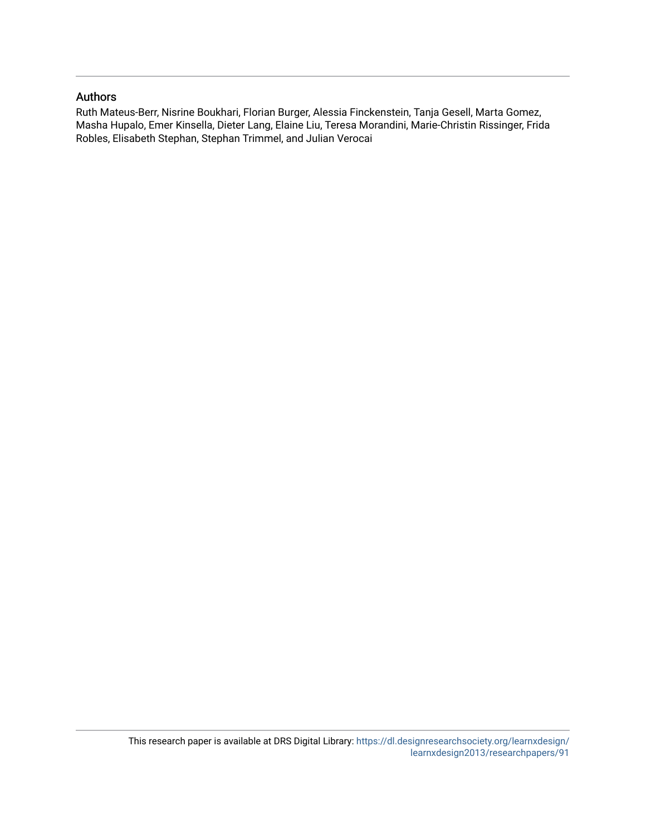### Authors

Ruth Mateus-Berr, Nisrine Boukhari, Florian Burger, Alessia Finckenstein, Tanja Gesell, Marta Gomez, Masha Hupalo, Emer Kinsella, Dieter Lang, Elaine Liu, Teresa Morandini, Marie-Christin Rissinger, Frida Robles, Elisabeth Stephan, Stephan Trimmel, and Julian Verocai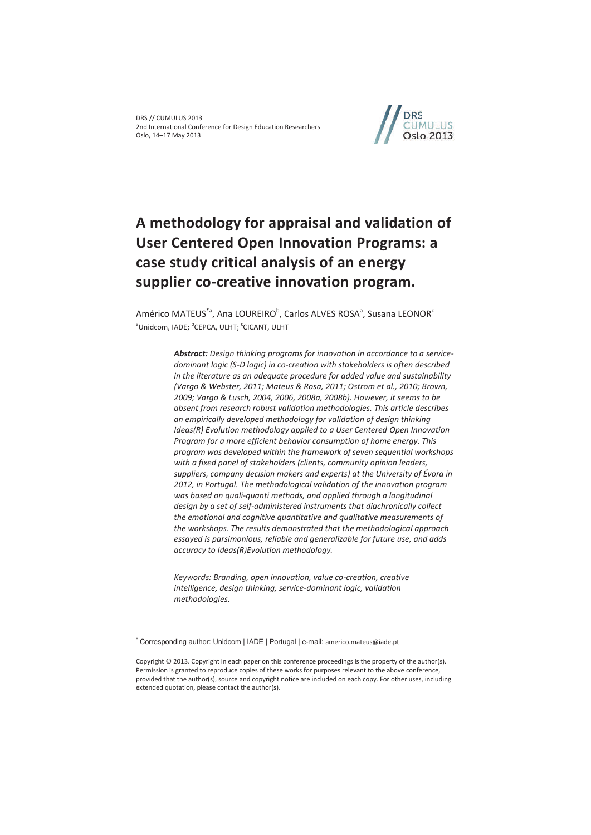

# **A methodology for appraisal and validation of User Centered Open Innovation Programs: a case study critical analysis of an energy supplier co-creative innovation program.**

Américo MATEUS $^{\ast}$ a, Ana LOUREIRO $^{\rm b}$ , Carlos ALVES ROSA $^{\rm a}$ , Susana LEONOR $^{\rm c}$ <sup>a</sup>Unidcom, IADE; <sup>b</sup>CEPCA, ULHT; <sup>c</sup>CICANT, ULHT

> *Abstract: Design thinking programs for innovation in accordance to a servicedominant logic (S-D logic) in co-creation with stakeholders is often described in the literature as an adequate procedure for added value and sustainability (Vargo & Webster, 2011; Mateus & Rosa, 2011; Ostrom et al., 2010; Brown, 2009; Vargo & Lusch, 2004, 2006, 2008a, 2008b). However, it seems to be absent from research robust validation methodologies. This article describes an empirically developed methodology for validation of design thinking Ideas(R)* Evolution methodology applied to a User Centered Open Innovation *Program for a more efficient behavior consumption of home energy. This program was developed within the framework of seven sequential workshops with a fixed panel of stakeholders (clients, community opinion leaders, suppliers, company decision makers and experts) at the University of Évora in 2012, in Portugal. The methodological validation of the innovation program was based on quali-quanti methods, and applied through a longitudinal design by a set of self-administered instruments that diachronically collect the emotional and cognitive quantitative and qualitative measurements of the workshops. The results demonstrated that the methodological approach essayed is parsimonious, reliable and generalizable for future use, and adds accuracy to Ideas(R)Evolution methodology.*

*Keywords: Branding, open innovation, value co-creation, creative intelligence, design thinking, service-dominant logic, validation methodologies.* 

 $\overline{a}$ 

<sup>\*</sup> Corresponding author: Unidcom | IADE | Portugal | e-mail: americo.mateus@iade.pt

Copyright © 2013. Copyright in each paper on this conference proceedings is the property of the author(s). Permission is granted to reproduce copies of these works for purposes relevant to the above conference, provided that the author(s), source and copyright notice are included on each copy. For other uses, including extended quotation, please contact the author(s).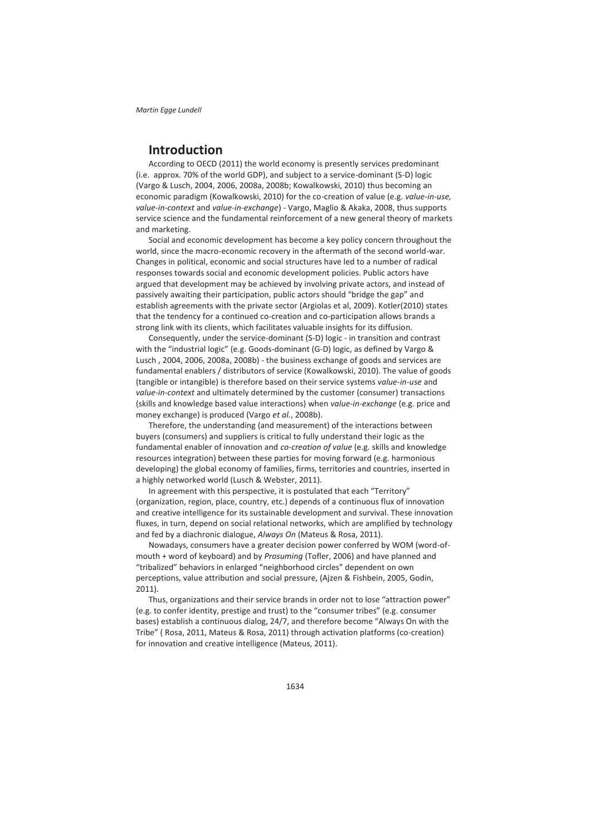## **Introduction**

According to OECD (2011) the world economy is presently services predominant (i.e. approx. 70% of the world GDP), and subject to a service-dominant (S-D) logic (Vargo & Lusch, 2004, 2006, 2008a, 2008b; Kowalkowski, 2010) thus becoming an economic paradigm (Kowalkowski, 2010) for the co-creation of value (e.g. *value-in-use, value-in-context* and *value-in-exchange*) - Vargo, Maglio & Akaka, 2008, thus supports service science and the fundamental reinforcement of a new general theory of markets and marketing.

Social and economic development has become a key policy concern throughout the world, since the macro-economic recovery in the aftermath of the second world-war. Changes in political, economic and social structures have led to a number of radical responses towards social and economic development policies. Public actors have argued that development may be achieved by involving private actors, and instead of passively awaiting their participation, public actors should "bridge the gap" and establish agreements with the private sector (Argiolas et al, 2009). Kotler(2010) states that the tendency for a continued co-creation and co-participation allows brands a strong link with its clients, which facilitates valuable insights for its diffusion.

Consequently, under the service-dominant (S-D) logic - in transition and contrast with the "industrial logic" (e.g. Goods-dominant (G-D) logic, as defined by Vargo & Lusch , 2004, 2006, 2008a, 2008b) - the business exchange of goods and services are fundamental enablers / distributors of service (Kowalkowski, 2010). The value of goods (tangible or intangible) is therefore based on their service systems *value-in-use* and *value-in-context* and ultimately determined by the customer (consumer) transactions (skills and knowledge based value interactions) when *value-in-exchange* (e.g. price and money exchange) is produced (Vargo *et al.*, 2008b).

Therefore, the understanding (and measurement) of the interactions between buyers (consumers) and suppliers is critical to fully understand their logic as the fundamental enabler of innovation and *co-creation of value* (e.g. skills and knowledge resources integration) between these parties for moving forward (e.g. harmonious developing) the global economy of families, firms, territories and countries, inserted in a highly networked world (Lusch & Webster, 2011).

In agreement with this perspective, it is postulated that each "Territory" (organization, region, place, country, etc.) depends of a continuous flux of innovation and creative intelligence for its sustainable development and survival. These innovation fluxes, in turn, depend on social relational networks, which are amplified by technology and fed by a diachronic dialogue, *Always On* (Mateus & Rosa, 2011).

Nowadays, consumers have a greater decision power conferred by WOM (word-ofmouth + word of keyboard) and by *Prosuming* (Tofler, 2006) and have planned and "tribalized" behaviors in enlarged "neighborhood circles" dependent on own perceptions, value attribution and social pressure, (Ajzen & Fishbein, 2005, Godin, 2011).

Thus, organizations and their service brands in order not to lose "attraction power" (e.g. to confer identity, prestige and trust) to the "consumer tribes" (e.g. consumer bases) establish a continuous dialog, 24/7, and therefore become "Always On with the Tribe" ( Rosa, 2011, Mateus & Rosa, 2011) through activation platforms (co-creation) for innovation and creative intelligence (Mateus, 2011).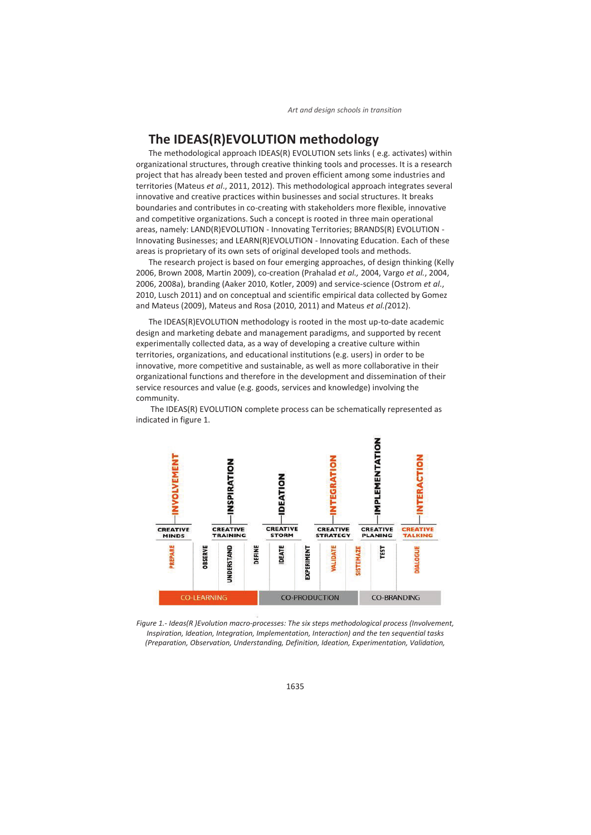## **The IDEAS(R)EVOLUTION methodology**

The methodological approach IDEAS(R) EVOLUTION sets links ( e.g. activates) within organizational structures, through creative thinking tools and processes. It is a research project that has already been tested and proven efficient among some industries and territories (Mateus *et al*., 2011, 2012). This methodological approach integrates several innovative and creative practices within businesses and social structures. It breaks boundaries and contributes in co-creating with stakeholders more flexible, innovative and competitive organizations. Such a concept is rooted in three main operational areas, namely: LAND(R)EVOLUTION - Innovating Territories; BRANDS(R) EVOLUTION - Innovating Businesses; and LEARN(R)EVOLUTION - Innovating Education. Each of these areas is proprietary of its own sets of original developed tools and methods.

The research project is based on four emerging approaches, of design thinking (Kelly 2006, Brown 2008, Martin 2009), co-creation (Prahalad *et al.,* 2004, Vargo *et al.*, 2004, 2006, 2008a), branding (Aaker 2010, Kotler, 2009) and service-science (Ostrom *et al*., 2010, Lusch 2011) and on conceptual and scientific empirical data collected by Gomez and Mateus (2009), Mateus and Rosa (2010, 2011) and Mateus *et al.(*2012).

The IDEAS(R)EVOLUTION methodology is rooted in the most up-to-date academic design and marketing debate and management paradigms, and supported by recent experimentally collected data, as a way of developing a creative culture within territories, organizations, and educational institutions (e.g. users) in order to be innovative, more competitive and sustainable, as well as more collaborative in their organizational functions and therefore in the development and dissemination of their service resources and value (e.g. goods, services and knowledge) involving the community.



 The IDEAS(R) EVOLUTION complete process can be schematically represented as indicated in figure 1.

*Figure 1.- Ideas(R )Evolution macro-processes: The six steps methodological process (Involvement, Inspiration, Ideation, Integration, Implementation, Interaction) and the ten sequential tasks (Preparation, Observation, Understanding, Definition, Ideation, Experimentation, Validation,*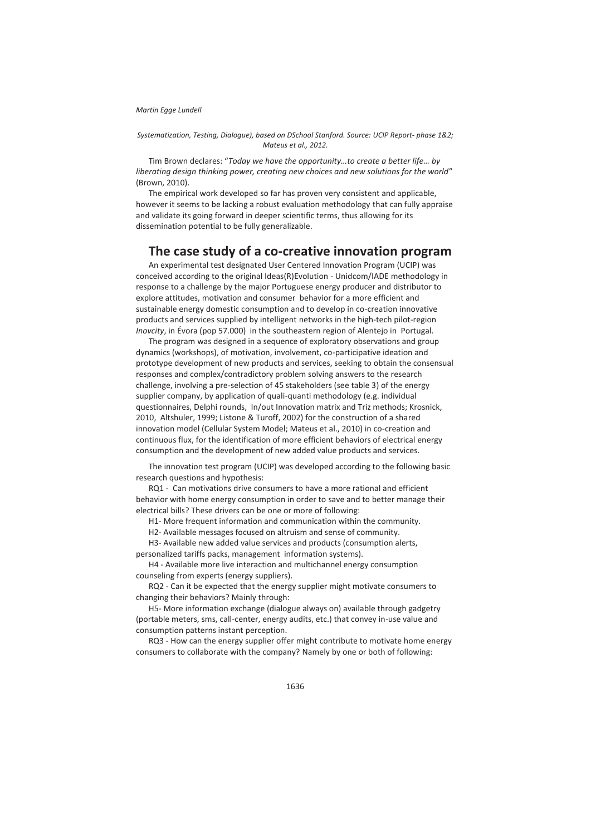*Systematization, Testing, Dialogue), based on DSchool Stanford. Source: UCIP Report- phase 1&2; Mateus et al., 2012.* 

Tim Brown declares: "*Today we have the opportunity…to create a better life… by liberating design thinking power, creating new choices and new solutions for the world*" (Brown, 2010).

The empirical work developed so far has proven very consistent and applicable, however it seems to be lacking a robust evaluation methodology that can fully appraise and validate its going forward in deeper scientific terms, thus allowing for its dissemination potential to be fully generalizable.

### **The case study of a co-creative innovation program**

An experimental test designated User Centered Innovation Program (UCIP) was conceived according to the original Ideas(R)Evolution - Unidcom/IADE methodology in response to a challenge by the major Portuguese energy producer and distributor to explore attitudes, motivation and consumer behavior for a more efficient and sustainable energy domestic consumption and to develop in co-creation innovative products and services supplied by intelligent networks in the high-tech pilot-region *Inovcity*, in Évora (pop 57.000) in the southeastern region of Alentejo in Portugal.

The program was designed in a sequence of exploratory observations and group dynamics (workshops), of motivation, involvement, co-participative ideation and prototype development of new products and services, seeking to obtain the consensual responses and complex/contradictory problem solving answers to the research challenge, involving a pre-selection of 45 stakeholders (see table 3) of the energy supplier company, by application of quali-quanti methodology (e.g. individual questionnaires, Delphi rounds, In/out Innovation matrix and Triz methods; Krosnick, 2010, Altshuler, 1999; Listone & Turoff, 2002) for the construction of a shared innovation model (Cellular System Model; Mateus et al., 2010) in co-creation and continuous flux, for the identification of more efficient behaviors of electrical energy consumption and the development of new added value products and services.

The innovation test program (UCIP) was developed according to the following basic research questions and hypothesis:

RQ1 - Can motivations drive consumers to have a more rational and efficient behavior with home energy consumption in order to save and to better manage their electrical bills? These drivers can be one or more of following:

H1- More frequent information and communication within the community.

H2- Available messages focused on altruism and sense of community.

H3- Available new added value services and products (consumption alerts, personalized tariffs packs, management information systems).

H4 - Available more live interaction and multichannel energy consumption counseling from experts (energy suppliers).

RQ2 - Can it be expected that the energy supplier might motivate consumers to changing their behaviors? Mainly through:

H5- More information exchange (dialogue always on) available through gadgetry (portable meters, sms, call-center, energy audits, etc.) that convey in-use value and consumption patterns instant perception.

RQ3 - How can the energy supplier offer might contribute to motivate home energy consumers to collaborate with the company? Namely by one or both of following: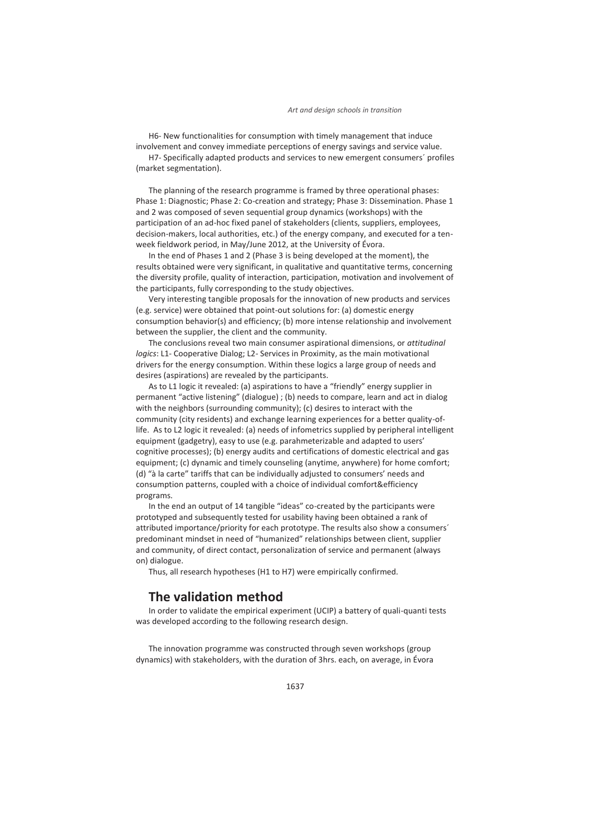#### *Art and design schools in transition*

H6- New functionalities for consumption with timely management that induce involvement and convey immediate perceptions of energy savings and service value.

H7- Specifically adapted products and services to new emergent consumers´ profiles (market segmentation).

The planning of the research programme is framed by three operational phases: Phase 1: Diagnostic; Phase 2: Co-creation and strategy; Phase 3: Dissemination. Phase 1 and 2 was composed of seven sequential group dynamics (workshops) with the participation of an ad-hoc fixed panel of stakeholders (clients, suppliers, employees, decision-makers, local authorities, etc.) of the energy company, and executed for a tenweek fieldwork period, in May/June 2012, at the University of Évora.

In the end of Phases 1 and 2 (Phase 3 is being developed at the moment), the results obtained were very significant, in qualitative and quantitative terms, concerning the diversity profile, quality of interaction, participation, motivation and involvement of the participants, fully corresponding to the study objectives.

Very interesting tangible proposals for the innovation of new products and services (e.g. service) were obtained that point-out solutions for: (a) domestic energy consumption behavior(s) and efficiency; (b) more intense relationship and involvement between the supplier, the client and the community.

The conclusions reveal two main consumer aspirational dimensions, or *attitudinal logics*: L1- Cooperative Dialog; L2- Services in Proximity, as the main motivational drivers for the energy consumption. Within these logics a large group of needs and desires (aspirations) are revealed by the participants.

As to L1 logic it revealed: (a) aspirations to have a "friendly" energy supplier in permanent "active listening" (dialogue) ; (b) needs to compare, learn and act in dialog with the neighbors (surrounding community); (c) desires to interact with the community (city residents) and exchange learning experiences for a better quality-oflife. As to L2 logic it revealed: (a) needs of infometrics supplied by peripheral intelligent equipment (gadgetry), easy to use (e.g. parahmeterizable and adapted to users' cognitive processes); (b) energy audits and certifications of domestic electrical and gas equipment; (c) dynamic and timely counseling (anytime, anywhere) for home comfort; (d) "à la carte" tariffs that can be individually adjusted to consumers' needs and consumption patterns, coupled with a choice of individual comfort&efficiency programs.

In the end an output of 14 tangible "ideas" co-created by the participants were prototyped and subsequently tested for usability having been obtained a rank of attributed importance/priority for each prototype. The results also show a consumers´ predominant mindset in need of "humanized" relationships between client, supplier and community, of direct contact, personalization of service and permanent (always on) dialogue.

Thus, all research hypotheses (H1 to H7) were empirically confirmed.

## **The validation method**

In order to validate the empirical experiment (UCIP) a battery of quali-quanti tests was developed according to the following research design.

The innovation programme was constructed through seven workshops (group dynamics) with stakeholders, with the duration of 3hrs. each, on average, in Évora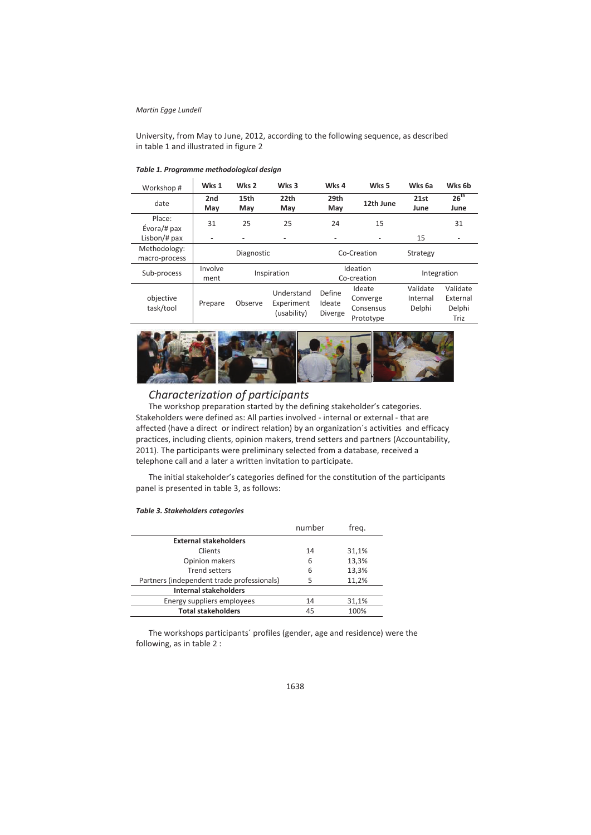#### *Martin Egge Lundell*

University, from May to June, 2012, according to the following sequence, as described in table 1 and illustrated in figure 2

| Workshop #                    | Wks 1                    | Wks 2       | Wks 3                                   | Wks 4                              | Wks 5                                        | Wks 6a                         | Wks 6b                                 |
|-------------------------------|--------------------------|-------------|-----------------------------------------|------------------------------------|----------------------------------------------|--------------------------------|----------------------------------------|
| date                          | 2nd<br>May               | 15th<br>May | 22th<br>May                             | 29th<br>May                        | 12th June                                    | 21st<br>June                   | 26 <sup>th</sup><br>June               |
| Place:<br>Évora/# pax         | 31                       | 25          | 25                                      | 24                                 | 15                                           |                                | 31                                     |
| Lisbon/# pax                  | $\overline{\phantom{0}}$ |             | -                                       |                                    |                                              | 15                             | $\overline{\phantom{0}}$               |
| Methodology:<br>macro-process |                          | Diagnostic  |                                         |                                    | Co-Creation                                  | Strategy                       |                                        |
| Sub-process                   | Involve<br>ment          |             | Inspiration                             |                                    | Ideation<br>Co-creation                      |                                | Integration                            |
| objective<br>task/tool        | Prepare                  | Observe     | Understand<br>Experiment<br>(usability) | Define<br>Ideate<br><b>Diverge</b> | Ideate<br>Converge<br>Consensus<br>Prototype | Validate<br>Internal<br>Delphi | Validate<br>External<br>Delphi<br>Triz |

#### *Table 1. Programme methodological design*



### *Characterization of participants*

The workshop preparation started by the defining stakeholder's categories. Stakeholders were defined as: All parties involved - internal or external - that are affected (have a direct or indirect relation) by an organization´s activities and efficacy practices, including clients, opinion makers, trend setters and partners (Accountability, 2011). The participants were preliminary selected from a database, received a telephone call and a later a written invitation to participate.

The initial stakeholder's categories defined for the constitution of the participants panel is presented in table 3, as follows:

| <b>Table 3. Stakeholders categories</b> |  |
|-----------------------------------------|--|
|-----------------------------------------|--|

| number | freg. |
|--------|-------|
|        |       |
| 14     | 31,1% |
| 6      | 13,3% |
| 6      | 13,3% |
| 5      | 11,2% |
|        |       |
| 14     | 31,1% |
| 45     | 100%  |
|        |       |

The workshops participants´ profiles (gender, age and residence) were the following, as in table 2 :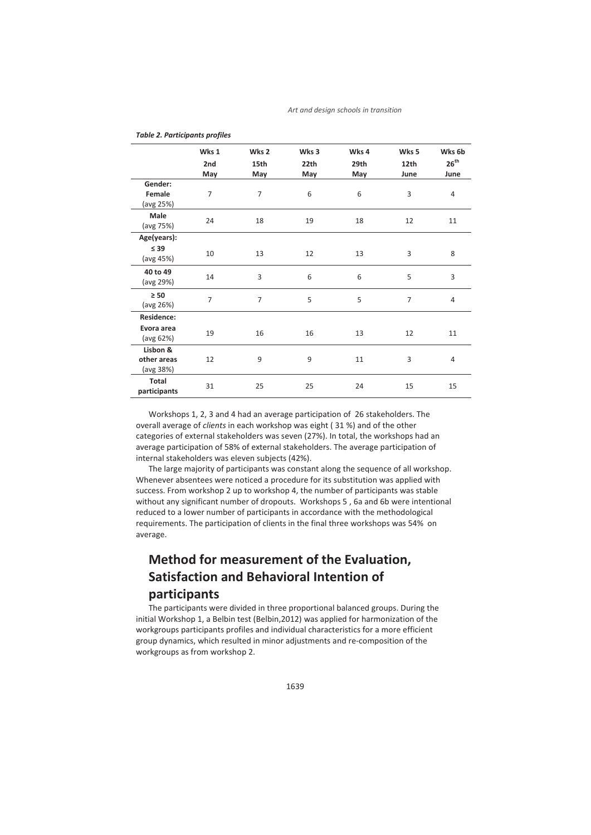|                                      | Wks 1          | Wks <sub>2</sub> | Wks 3 | Wks 4 | Wks 5 | Wks 6b    |
|--------------------------------------|----------------|------------------|-------|-------|-------|-----------|
|                                      | 2nd            | 15th             | 22th  | 29th  | 12th  | $26^{th}$ |
|                                      | May            | May              | May   | May   | June  | June      |
| Gender:                              |                |                  |       |       |       |           |
| Female<br>(avg 25%)                  | $\overline{7}$ | $\overline{7}$   | 6     | 6     | 3     | 4         |
| Male<br>(avg 75%)                    | 24             | 18               | 19    | 18    | 12    | 11        |
| Age(years):                          |                |                  |       |       |       |           |
| $\leq 39$<br>(avg 45%)               | 10             | 13               | 12    | 13    | 3     | 8         |
| 40 to 49<br>(avg 29%)                | 14             | 3                | 6     | 6     | 5     | 3         |
| $\geq 50$<br>(avg 26%)               | $\overline{7}$ | $\overline{7}$   | 5     | 5     | 7     | 4         |
| Residence:                           |                |                  |       |       |       |           |
| Evora area<br>(avg 62%)              | 19             | 16               | 16    | 13    | 12    | 11        |
| Lisbon &<br>other areas<br>(avg 38%) | 12             | 9                | 9     | 11    | 3     | 4         |
| <b>Total</b><br>participants         | 31             | 25               | 25    | 24    | 15    | 15        |

*Table 2. Participants profiles* 

Workshops 1, 2, 3 and 4 had an average participation of 26 stakeholders. The overall average of *clients* in each workshop was eight ( 31 %) and of the other categories of external stakeholders was seven (27%). In total, the workshops had an average participation of 58% of external stakeholders. The average participation of internal stakeholders was eleven subjects (42%).

The large majority of participants was constant along the sequence of all workshop. Whenever absentees were noticed a procedure for its substitution was applied with success. From workshop 2 up to workshop 4, the number of participants was stable without any significant number of dropouts. Workshops 5 , 6a and 6b were intentional reduced to a lower number of participants in accordance with the methodological requirements. The participation of clients in the final three workshops was 54% on average.

## **Method for measurement of the Evaluation, Satisfaction and Behavioral Intention of participants**

The participants were divided in three proportional balanced groups. During the initial Workshop 1, a Belbin test (Belbin,2012) was applied for harmonization of the workgroups participants profiles and individual characteristics for a more efficient group dynamics, which resulted in minor adjustments and re-composition of the workgroups as from workshop 2.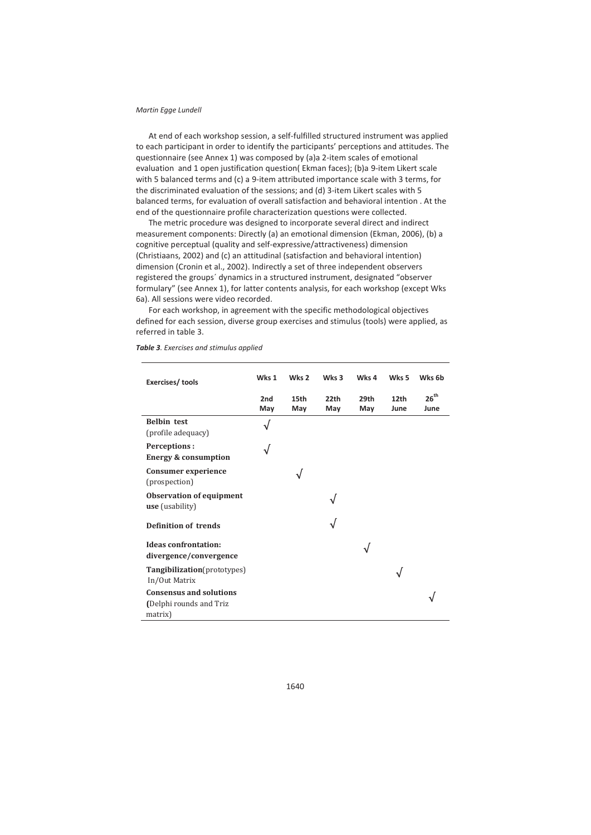#### *Martin Egge Lundell*

At end of each workshop session, a self-fulfilled structured instrument was applied to each participant in order to identify the participants' perceptions and attitudes. The questionnaire (see Annex 1) was composed by (a)a 2-item scales of emotional evaluation and 1 open justification question( Ekman faces); (b)a 9-item Likert scale with 5 balanced terms and (c) a 9-item attributed importance scale with 3 terms, for the discriminated evaluation of the sessions; and (d) 3-item Likert scales with 5 balanced terms, for evaluation of overall satisfaction and behavioral intention . At the end of the questionnaire profile characterization questions were collected.

The metric procedure was designed to incorporate several direct and indirect measurement components: Directly (a) an emotional dimension (Ekman, 2006), (b) a cognitive perceptual (quality and self-expressive/attractiveness) dimension (Christiaans, 2002) and (c) an attitudinal (satisfaction and behavioral intention) dimension (Cronin et al., 2002). Indirectly a set of three independent observers registered the groups´ dynamics in a structured instrument, designated "observer formulary" (see Annex 1), for latter contents analysis, for each workshop (except Wks 6a). All sessions were video recorded.

For each workshop, in agreement with the specific methodological objectives defined for each session, diverse group exercises and stimulus (tools) were applied, as referred in table 3.

| Exercises/tools                                                      | Wks 1      | Wks <sub>2</sub>        | Wks 3       | Wks 4       | Wks <sub>5</sub> | Wks 6b            |
|----------------------------------------------------------------------|------------|-------------------------|-------------|-------------|------------------|-------------------|
|                                                                      | 2nd<br>May | 15 <sub>th</sub><br>May | 22th<br>May | 29th<br>May | 12th<br>June     | $26^{th}$<br>June |
| <b>Belbin</b> test<br>(profile adequacy)                             |            |                         |             |             |                  |                   |
| Perceptions:<br><b>Energy &amp; consumption</b>                      |            |                         |             |             |                  |                   |
| Consumer experience<br>(prospection)                                 |            |                         |             |             |                  |                   |
| <b>Observation of equipment</b><br><b>use</b> (usability)            |            |                         |             |             |                  |                   |
| <b>Definition of trends</b>                                          |            |                         |             |             |                  |                   |
| <b>Ideas confrontation:</b><br>divergence/convergence                |            |                         |             |             |                  |                   |
| Tangibilization(prototypes)<br>In/Out Matrix                         |            |                         |             |             |                  |                   |
| <b>Consensus and solutions</b><br>(Delphi rounds and Triz<br>matrix) |            |                         |             |             |                  |                   |

*Table 3. Exercises and stimulus applied*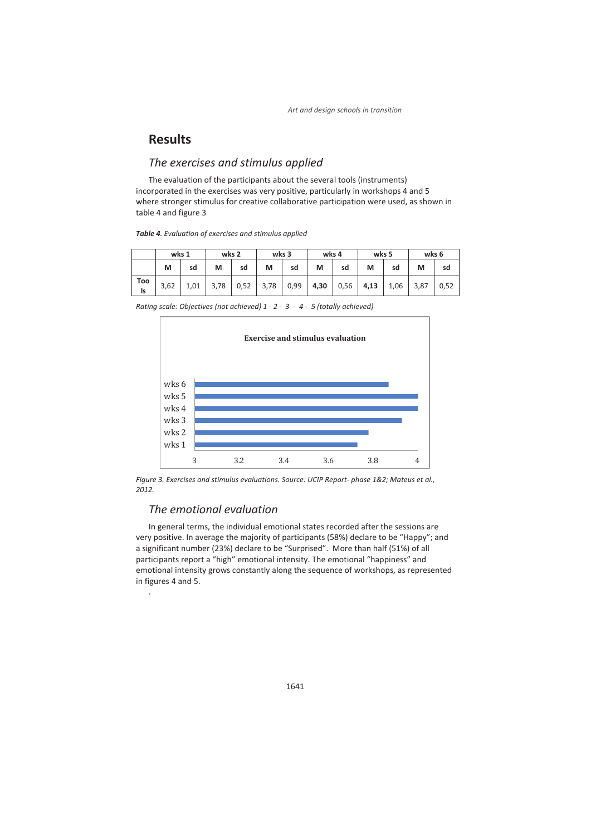## **Results**

### *The exercises and stimulus applied*

The evaluation of the participants about the several tools (instruments) incorporated in the exercises was very positive, particularly in workshops 4 and 5 where stronger stimulus for creative collaborative participation were used, as shown in table 4 and figure 3

| Table 4. Evaluation of exercises and stimulus applied |  |  |  |  |  |  |  |
|-------------------------------------------------------|--|--|--|--|--|--|--|
|-------------------------------------------------------|--|--|--|--|--|--|--|

|           | wks 1 |      | wks 2 |      | wks 3 |      | wks 4 |      | wks 5 |      | wks 6 |      |
|-----------|-------|------|-------|------|-------|------|-------|------|-------|------|-------|------|
|           | м     | sd   | м     | sd   | м     | sd   | M     | sd   | м     | sd   | M     | sd   |
| Too<br>Is | 3,62  | 1,01 | 3,78  | 0,52 | 3,78  | 0,99 | 4,30  | 0,56 | 4,13  | 1,06 | 3,87  | 0,52 |

*Rating scale: Objectives (not achieved) 1 - 2 - 3 - 4 - 5 (totally achieved)* 



*Figure 3. Exercises and stimulus evaluations. Source: UCIP Report- phase 1&2; Mateus et al., 2012.* 

## *The emotional evaluation*

.

In general terms, the individual emotional states recorded after the sessions are very positive. In average the majority of participants (58%) declare to be "Happy"; and a significant number (23%) declare to be "Surprised". More than half (51%) of all participants report a "high" emotional intensity. The emotional "happiness" and emotional intensity grows constantly along the sequence of workshops, as represented in figures 4 and 5.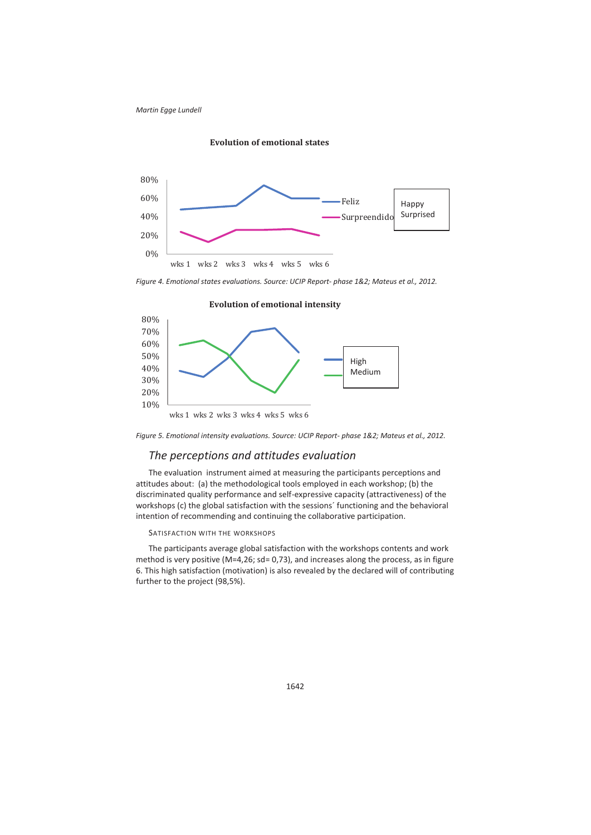

**Evolution of emotional states** 

*Figure 4. Emotional states evaluations. Source: UCIP Report- phase 1&2; Mateus et al., 2012.* 





### *The perceptions and attitudes evaluation*

The evaluation instrument aimed at measuring the participants perceptions and attitudes about: (a) the methodological tools employed in each workshop; (b) the discriminated quality performance and self-expressive capacity (attractiveness) of the workshops (c) the global satisfaction with the sessions´ functioning and the behavioral intention of recommending and continuing the collaborative participation.

#### SATISFACTION WITH THE WORKSHOPS

The participants average global satisfaction with the workshops contents and work method is very positive (M=4,26; sd= 0,73), and increases along the process, as in figure 6. This high satisfaction (motivation) is also revealed by the declared will of contributing further to the project (98,5%).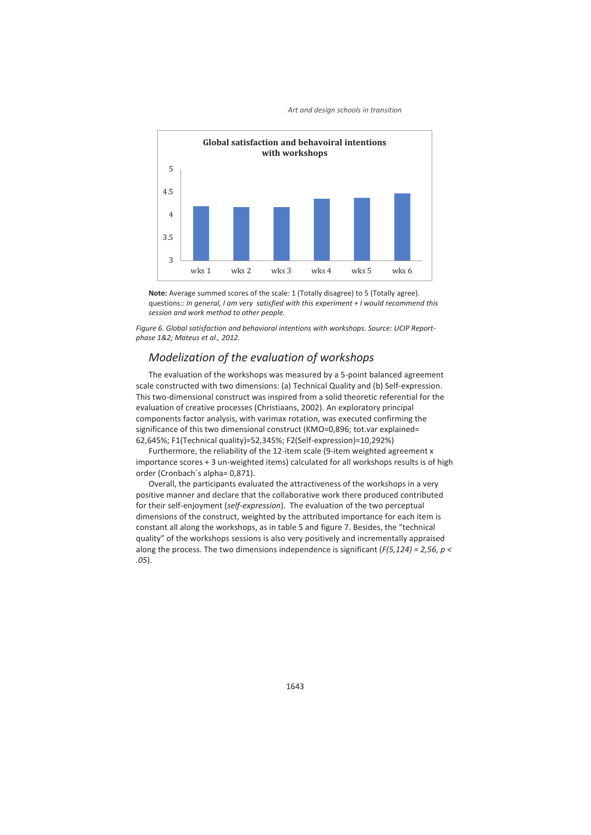



**Note:** Average summed scores of the scale: 1 (Totally disagree) to 5 (Totally agree). questions:*: In general, I am very satisfied with this experiment + I would recommend this session and work method to other people.* 

*Figure 6. Global satisfaction and behavioral intentions with workshops. Source: UCIP Reportphase 1&2; Mateus et al., 2012.* 

### *Modelization of the evaluation of workshops*

The evaluation of the workshops was measured by a 5-point balanced agreement scale constructed with two dimensions: (a) Technical Quality and (b) Self-expression. This two-dimensional construct was inspired from a solid theoretic referential for the evaluation of creative processes (Christiaans, 2002). An exploratory principal components factor analysis, with varimax rotation, was executed confirming the significance of this two dimensional construct (KMO=0,896; tot.var explained= 62,645%; F1(Technical quality)=52,345%; F2(Self-expression)=10,292%)

Furthermore, the reliability of the 12-item scale (9-item weighted agreement x importance scores + 3 un-weighted items) calculated for all workshops results is of high order (Cronbach´s alpha= 0,871).

Overall, the participants evaluated the attractiveness of the workshops in a very positive manner and declare that the collaborative work there produced contributed for their self-enjoyment (*self-expression*). The evaluation of the two perceptual dimensions of the construct, weighted by the attributed importance for each item is constant all along the workshops, as in table 5 and figure 7. Besides, the "technical quality" of the workshops sessions is also very positively and incrementally appraised along the process. The two dimensions independence is significant (*F(5,124) = 2,56, p < .05*).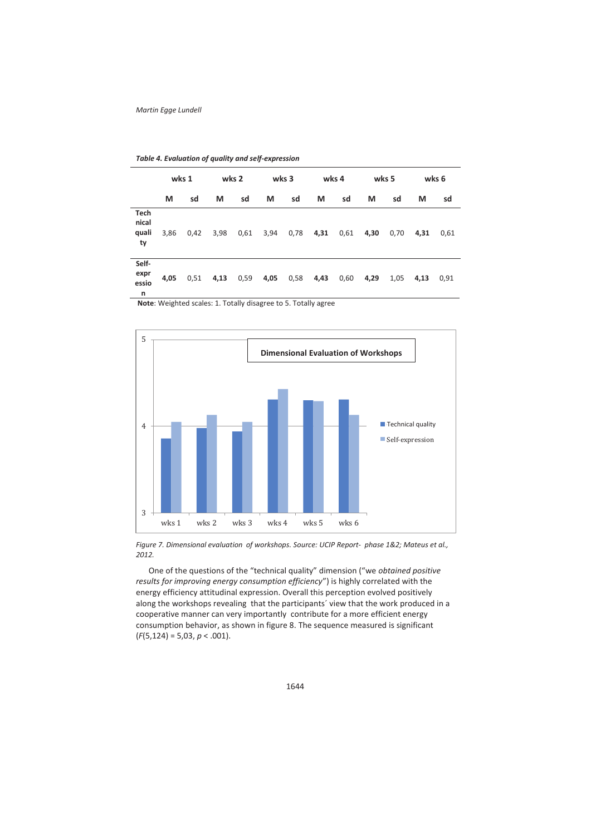|                              |      | wks 1 |      | wks 2 |      | wks 3 |      | wks 4 |      | wks 5 |      | wks 6 |
|------------------------------|------|-------|------|-------|------|-------|------|-------|------|-------|------|-------|
|                              | М    | sd    | М    | sd    | М    | sd    | М    | sd    | M    | sd    | М    | sd    |
| Tech<br>nical<br>quali<br>ty | 3,86 | 0,42  | 3,98 | 0,61  | 3,94 | 0,78  | 4,31 | 0,61  | 4,30 | 0,70  | 4,31 | 0,61  |
| Self-<br>expr<br>essio<br>n  | 4,05 | 0,51  | 4,13 | 0,59  | 4,05 | 0,58  | 4,43 | 0,60  | 4,29 | 1,05  | 4,13 | 0,91  |

*Table 4. Evaluation of quality and self-expression* 

**Note**: Weighted scales: 1. Totally disagree to 5. Totally agree



*Figure 7. Dimensional evaluation of workshops. Source: UCIP Report- phase 1&2; Mateus et al., 2012.* 

One of the questions of the "technical quality" dimension ("we *obtained positive results for improving energy consumption efficiency*") is highly correlated with the energy efficiency attitudinal expression. Overall this perception evolved positively along the workshops revealing that the participants´ view that the work produced in a cooperative manner can very importantly contribute for a more efficient energy consumption behavior, as shown in figure 8. The sequence measured is significant (*F*(5,124) = 5,03, *p* < .001).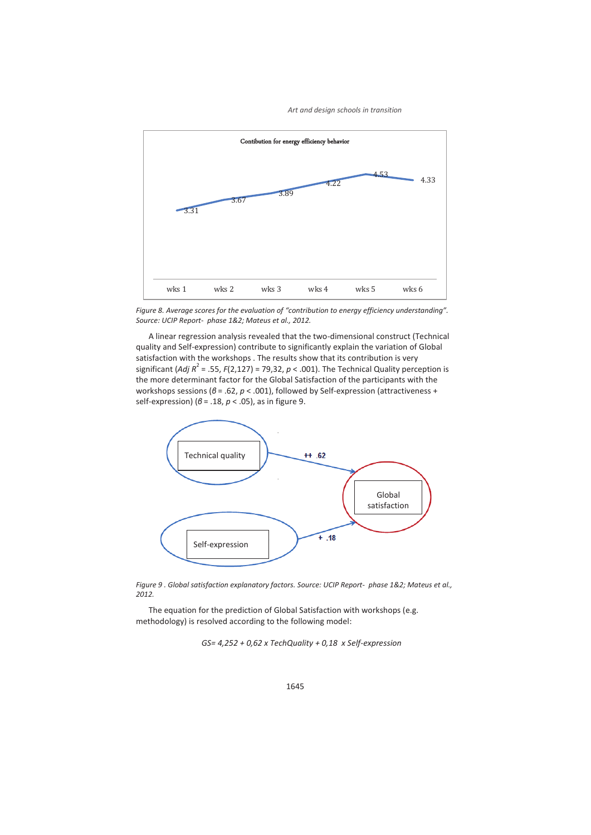*Art and design schools in transition*



*Figure 8. Average scores for the evaluation of "contribution to energy efficiency understanding". Source: UCIP Report- phase 1&2; Mateus et al., 2012.* 

A linear regression analysis revealed that the two-dimensional construct (Technical quality and Self-expression) contribute to significantly explain the variation of Global satisfaction with the workshops . The results show that its contribution is very significant (*Adj R*<sup>2</sup> = .55, *F*(2,127) = 79,32,  $p$  < .001). The Technical Quality perception is the more determinant factor for the Global Satisfaction of the participants with the workshops sessions (*β* = .62, *p* < .001), followed by Self-expression (attractiveness + self-expression) (*β* = .18, *p* < .05), as in figure 9.



*Figure 9 . Global satisfaction explanatory factors. Source: UCIP Report- phase 1&2; Mateus et al., 2012.* 

The equation for the prediction of Global Satisfaction with workshops (e.g. methodology) is resolved according to the following model:

*GS= 4,252 + 0,62 x TechQuality + 0,18 x Self-expression*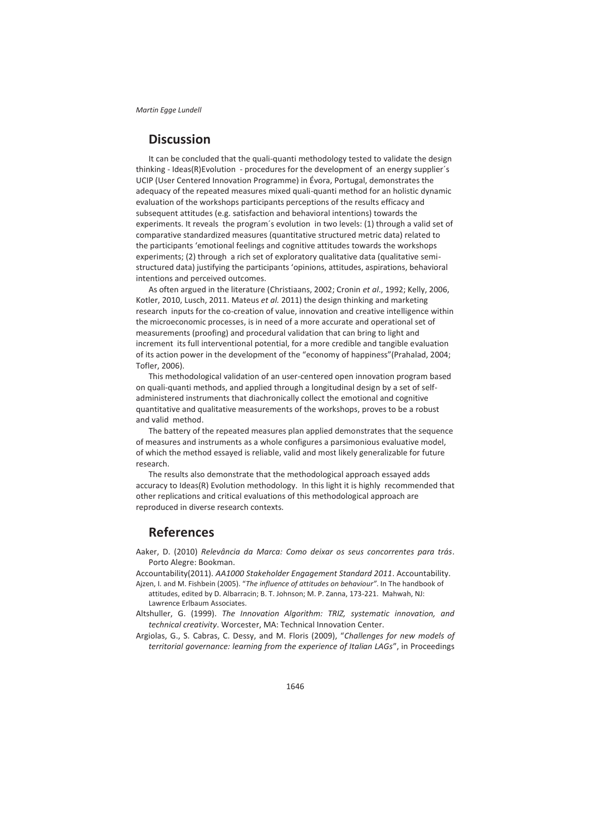## **Discussion**

It can be concluded that the quali-quanti methodology tested to validate the design thinking - Ideas(R)Evolution - procedures for the development of an energy supplier´s UCIP (User Centered Innovation Programme) in Évora, Portugal, demonstrates the adequacy of the repeated measures mixed quali-quanti method for an holistic dynamic evaluation of the workshops participants perceptions of the results efficacy and subsequent attitudes (e.g. satisfaction and behavioral intentions) towards the experiments. It reveals the program´s evolution in two levels: (1) through a valid set of comparative standardized measures (quantitative structured metric data) related to the participants 'emotional feelings and cognitive attitudes towards the workshops experiments; (2) through a rich set of exploratory qualitative data (qualitative semistructured data) justifying the participants 'opinions, attitudes, aspirations, behavioral intentions and perceived outcomes.

As often argued in the literature (Christiaans, 2002; Cronin *et al*., 1992; Kelly, 2006, Kotler, 2010, Lusch, 2011. Mateus *et al.* 2011) the design thinking and marketing research inputs for the co-creation of value, innovation and creative intelligence within the microeconomic processes, is in need of a more accurate and operational set of measurements (proofing) and procedural validation that can bring to light and increment its full interventional potential, for a more credible and tangible evaluation of its action power in the development of the "economy of happiness"(Prahalad, 2004; Tofler, 2006).

This methodological validation of an user-centered open innovation program based on quali-quanti methods, and applied through a longitudinal design by a set of selfadministered instruments that diachronically collect the emotional and cognitive quantitative and qualitative measurements of the workshops, proves to be a robust and valid method.

The battery of the repeated measures plan applied demonstrates that the sequence of measures and instruments as a whole configures a parsimonious evaluative model, of which the method essayed is reliable, valid and most likely generalizable for future research.

The results also demonstrate that the methodological approach essayed adds accuracy to Ideas(R) Evolution methodology. In this light it is highly recommended that other replications and critical evaluations of this methodological approach are reproduced in diverse research contexts.

## **References**

Aaker, D. (2010) *Relevância da Marca: Como deixar os seus concorrentes para trás*. Porto Alegre: Bookman.

Accountability(2011). *AA1000 Stakeholder Engagement Standard 2011*. Accountability.

- Ajzen, I. and M. Fishbein (2005). "*The influence of attitudes on behaviour"*. In The handbook of attitudes, edited by D. Albarracin; B. T. Johnson; M. P. Zanna, 173-221. Mahwah, NJ: Lawrence Erlbaum Associates.
- Altshuller, G. (1999). *The Innovation Algorithm: TRIZ, systematic innovation, and technical creativity*. Worcester, MA: Technical Innovation Center.
- Argiolas, G., S. Cabras, C. Dessy, and M. Floris (2009), "*Challenges for new models of territorial governance: learning from the experience of Italian LAGs*", in Proceedings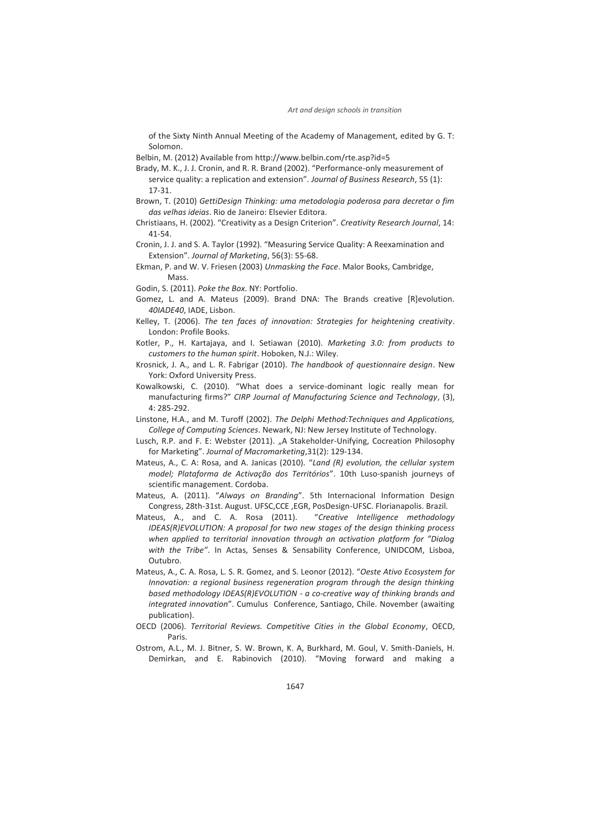of the Sixty Ninth Annual Meeting of the Academy of Management, edited by G. T: Solomon.

Belbin, M. (2012) Available from http://www.belbin.com/rte.asp?id=5

- Brady, M. K., J. J. Cronin, and R. R. Brand (2002). "Performance-only measurement of service quality: a replication and extension". *Journal of Business Research*, 55 (1): 17-31.
- Brown, T. (2010) *GettiDesign Thinking: uma metodologia poderosa para decretar o fim das velhas ideias*. Rio de Janeiro: Elsevier Editora.
- Christiaans, H. (2002). "Creativity as a Design Criterion". *Creativity Research Journal*, 14: 41-54.

Cronin, J. J. and S. A. Taylor (1992). "Measuring Service Quality: A Reexamination and Extension". *Journal of Marketing*, 56(3): 55-68.

- Ekman, P. and W. V. Friesen (2003) *Unmasking the Face*. Malor Books, Cambridge, Mass.
- Godin, S. (2011). *Poke the Box*. NY: Portfolio.
- Gomez, L. and A. Mateus (2009). Brand DNA: The Brands creative [R]evolution. *40IADE40*, IADE, Lisbon.
- Kelley, T. (2006). *The ten faces of innovation: Strategies for heightening creativity*. London: Profile Books.
- Kotler, P., H. Kartajaya, and I. Setiawan (2010). *Marketing 3.0: from products to customers to the human spirit*. Hoboken, N.J.: Wiley.
- Krosnick, J. A., and L. R. Fabrigar (2010). *The handbook of questionnaire design*. New York: Oxford University Press.
- Kowalkowski, C. (2010). "What does a service-dominant logic really mean for manufacturing firms?" *CIRP Journal of Manufacturing Science and Technology*, (3), 4: 285-292.
- Linstone, H.A., and M. Turoff (2002). *The Delphi Method:Techniques and Applications, College of Computing Sciences*. Newark, NJ: New Jersey Institute of Technology.
- Lusch, R.P. and F. E: Webster (2011). "A Stakeholder-Unifying, Cocreation Philosophy for Marketing". *Journal of Macromarketing*,31(2): 129-134.
- Mateus, A., C. A: Rosa, and A. Janicas (2010). "*Land (R) evolution, the cellular system model; Plataforma de Activação dos Territórios*". 10th Luso-spanish journeys of scientific management. Cordoba.
- Mateus, A. (2011). "*Always on Branding*". 5th Internacional Information Design Congress, 28th-31st. August. UFSC,CCE ,EGR, PosDesign-UFSC. Florianapolis. Brazil.
- Mateus, A., and C. A. Rosa (2011). "*Creative Intelligence methodology IDEAS(R)EVOLUTION: A proposal for two new stages of the design thinking process when applied to territorial innovation through an activation platform for "Dialog with the Tribe"*. In Actas, Senses & Sensability Conference, UNIDCOM, Lisboa, Outubro.
- Mateus, A., C. A. Rosa, L. S. R. Gomez, and S. Leonor (2012). "*Oeste Ativo Ecosystem for Innovation: a regional business regeneration program through the design thinking based methodology IDEAS(R)EVOLUTION - a co-creative way of thinking brands and integrated innovation*". Cumulus Conference, Santiago, Chile. November (awaiting publication).
- OECD (2006). *Territorial Reviews. Competitive Cities in the Global Economy*, OECD, Paris.
- Ostrom, A.L., M. J. Bitner, S. W. Brown, K. A, Burkhard, M. Goul, V. Smith-Daniels, H. Demirkan, and E. Rabinovich (2010). "Moving forward and making a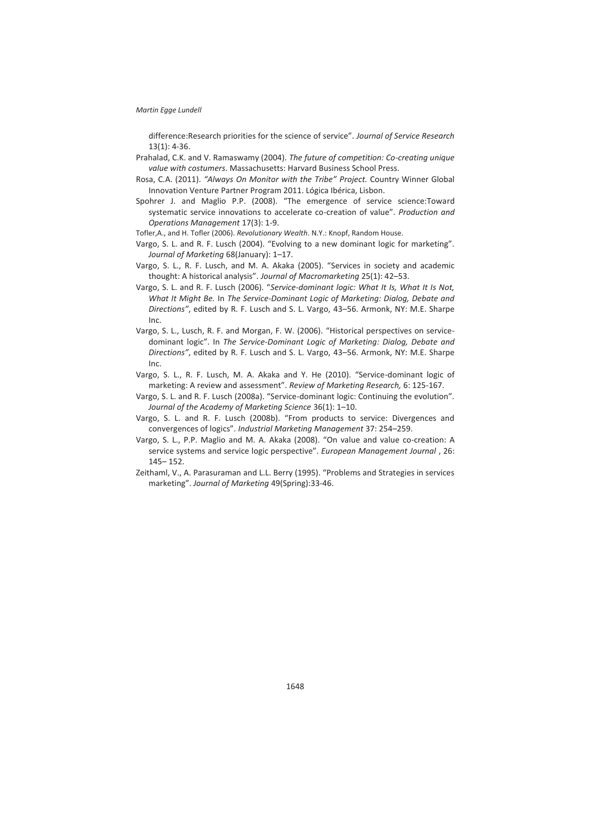difference:Research priorities for the science of service". *Journal of Service Research*  13(1): 4-36.

- Prahalad, C.K. and V. Ramaswamy (2004). *The future of competition: Co-creating unique value with costumers*. Massachusetts: Harvard Business School Press.
- Rosa, C.A. (2011). *"Always On Monitor with the Tribe" Project.* Country Winner Global Innovation Venture Partner Program 2011. Lógica Ibérica, Lisbon.
- Spohrer J. and Maglio P.P. (2008). "The emergence of service science:Toward systematic service innovations to accelerate co-creation of value". *Production and Operations Management* 17(3): 1-9.
- Tofler,A., and H. Tofler (2006). *Revolutionary Wealth*. N.Y.: Knopf, Random House.
- Vargo, S. L. and R. F. Lusch (2004). "Evolving to a new dominant logic for marketing". *Journal of Marketing* 68(January): 1–17.
- Vargo, S. L., R. F. Lusch, and M. A. Akaka (2005). "Services in society and academic thought: A historical analysis". *Journal of Macromarketing* 25(1): 42–53.
- Vargo, S. L. and R. F. Lusch (2006). "*Service-dominant logic: What It Is, What It Is Not, What It Might Be.* In *The Service-Dominant Logic of Marketing: Dialog, Debate and Directions"*, edited by R. F. Lusch and S. L. Vargo, 43–56. Armonk, NY: M.E. Sharpe Inc.
- Vargo, S. L., Lusch, R. F. and Morgan, F. W. (2006). "Historical perspectives on servicedominant logic". In *The Service-Dominant Logic of Marketing: Dialog, Debate and Directions"*, edited by R. F. Lusch and S. L. Vargo, 43–56. Armonk, NY: M.E. Sharpe Inc.
- Vargo, S. L., R. F. Lusch, M. A. Akaka and Y. He (2010). "Service-dominant logic of marketing: A review and assessment". *Review of Marketing Research,* 6: 125-167.
- Vargo, S. L. and R. F. Lusch (2008a). "Service-dominant logic: Continuing the evolution". *Journal of the Academy of Marketing Science* 36(1): 1–10.
- Vargo, S. L. and R. F. Lusch (2008b). "From products to service: Divergences and convergences of logics". *Industrial Marketing Management* 37: 254–259.
- Vargo, S. L., P.P. Maglio and M. A. Akaka (2008). "On value and value co-creation: A service systems and service logic perspective". *European Management Journal* , 26: 145– 152.
- Zeithaml, V., A. Parasuraman and L.L. Berry (1995). "Problems and Strategies in services marketing". *Journal of Marketing* 49(Spring):33-46.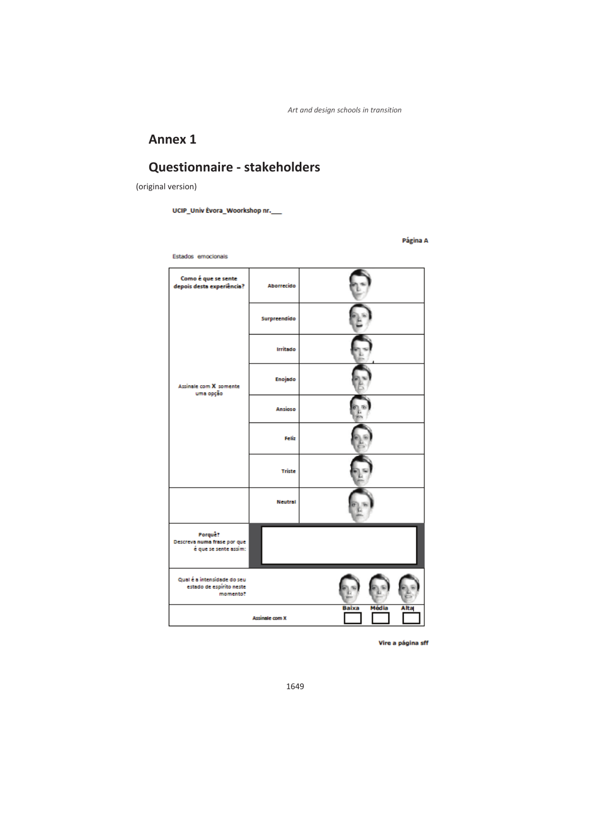## **Annex 1**

## **Questionnaire - stakeholders**

(original version)

UCIP\_Univ Evora\_Woorkshop nr.\_\_\_

Página A

Estados emocionais

| Como é que se sente<br>depois desta experiência?                    | Aborrecido            |                        |
|---------------------------------------------------------------------|-----------------------|------------------------|
| Assinale com X somente<br>uma opção                                 | Surpreendido          |                        |
|                                                                     | Irritado              |                        |
|                                                                     | Enojado               |                        |
|                                                                     | <b>Ansioso</b>        |                        |
|                                                                     | Feliz                 |                        |
|                                                                     | <b>Triste</b>         |                        |
|                                                                     | <b>Neutral</b>        |                        |
| Porque?<br>Descreva numa frase por que<br>é que se sente assim:     |                       |                        |
| Qual é a intensidade do seu<br>estado de espírito neste<br>momento? |                       |                        |
|                                                                     | <b>Assinale com X</b> | Média<br>Baixa<br>Alta |

Vire a página sff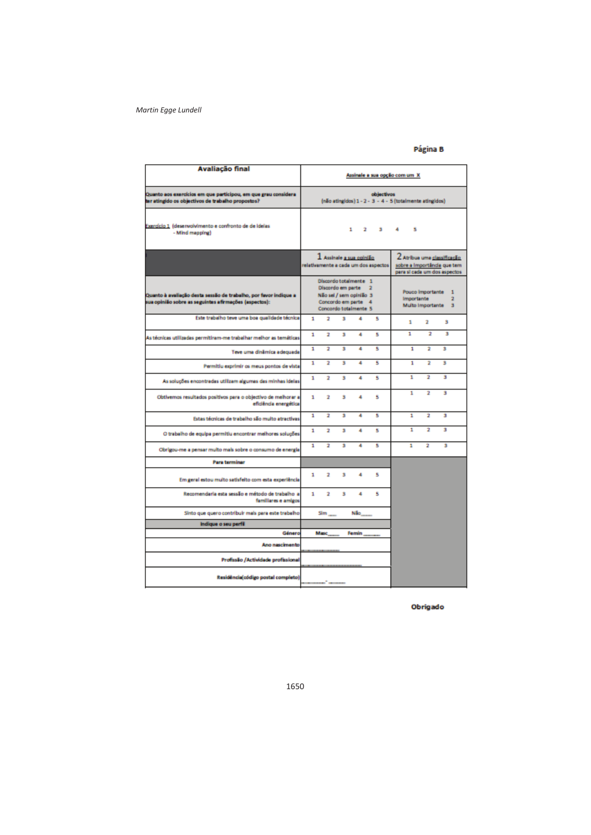### Página B

| <b>Avaliação final</b>                                                                                                   |   |                   |   |                                                                                                  |                                      | Assinale a sua opção com um X                            |                                             |                                                                                           |
|--------------------------------------------------------------------------------------------------------------------------|---|-------------------|---|--------------------------------------------------------------------------------------------------|--------------------------------------|----------------------------------------------------------|---------------------------------------------|-------------------------------------------------------------------------------------------|
| Quanto aos exercícios em que participou, em que grau considera<br>ter atingido os objectivos de trabalho propostos?      |   |                   |   |                                                                                                  | objectivos                           | (não atingidos) 1 - 2 - 3 - 4 - 5 (totalmente atingidos) |                                             |                                                                                           |
| Exercício 1 (desenvolvimento e confronto de de ideias<br>- Mind mapping)                                                 |   |                   |   |                                                                                                  | $1 \quad 2 \quad 3$                  | 4<br>5                                                   |                                             |                                                                                           |
|                                                                                                                          |   |                   |   | $1$ Assinale a sua opinião                                                                       | relativamente a cada um dos aspectos |                                                          |                                             | Z Atribua uma classificação<br>sobre a Importânda que tem<br>para si cada um dos aspectos |
| Quanto à avaliação desta sessão de trabalho, por favor indique a<br>ua opinião sobre as seguintes afirmações (aspectos): |   | Discordo em parte |   | Discordo totalmente 1<br>Não sel / sem opinião 3<br>Concordo em parte 4<br>Concordo totalmente 5 |                                      | <b>Importante</b>                                        | <b>Pouco Importante</b><br>Multo Importante | $\mathbf{1}$<br>2<br>$\overline{\mathbf{3}}$                                              |
| Este trabalho teve uma boa qualidade técnica                                                                             | 1 | 2                 | 3 | 4                                                                                                | s                                    | ٠                                                        | ž.                                          | š                                                                                         |
| As técnicas utilizadas permitiram-me trabalhar melhor as temáticas                                                       | 1 | 2                 | s | ٠                                                                                                | s                                    | 1                                                        | 2                                           | ٠                                                                                         |
| Teve uma dinâmica adequada                                                                                               | 1 | 2                 | 3 | 4                                                                                                | 5                                    | 1                                                        | 2                                           | з                                                                                         |
| Permitiu exprimir os meus pontos de vista                                                                                | 1 | 2                 | 3 | 4                                                                                                | 5                                    | 1                                                        | 2                                           | з                                                                                         |
| As soluções encontradas utilizam algumas das minhas ideias                                                               | 1 | 2                 | 3 | ٠                                                                                                | s                                    | 1                                                        | 2                                           | з                                                                                         |
| Obtivemos resultados positivos para o objectivo de melhorar a<br>eficiência energética                                   | 1 | 2                 | 3 | 4                                                                                                | s                                    | 1                                                        | ż                                           | з                                                                                         |
| Estas técnicas de trabalho são muito atractivas                                                                          | 1 | 2                 | ŝ | 4                                                                                                | s                                    | 1                                                        | ż                                           | ŝ                                                                                         |
| O trabalho de equipa permitiu encontrar melhores soluções                                                                | 1 | 2                 | Ś | 4                                                                                                | s                                    | 1                                                        | 2                                           | з                                                                                         |
| Obrigou-me a pensar multo mais sobre o consumo de energía                                                                | 1 | 2                 | 3 | 4                                                                                                | 5                                    | 1                                                        | 2                                           | з                                                                                         |
| <b>Para terminar</b>                                                                                                     |   |                   |   |                                                                                                  |                                      |                                                          |                                             |                                                                                           |
| Em geral estou multo satisfeito com esta experiência                                                                     | 1 | 2                 | 3 | 4                                                                                                | s                                    |                                                          |                                             |                                                                                           |
| Recomendaria esta sessão e método de trabalho a<br>familiares e amigos                                                   | 1 | 2                 | 3 | 4                                                                                                | 5                                    |                                                          |                                             |                                                                                           |
| Sinto que quero contribuir mais para este trabalho                                                                       |   | $\mathbf{Sim}$    |   | Não                                                                                              |                                      |                                                          |                                             |                                                                                           |
| Indique o seu perfil                                                                                                     |   |                   |   |                                                                                                  |                                      |                                                          |                                             |                                                                                           |
| Género                                                                                                                   |   | <b>Masc</b>       |   | Femin                                                                                            |                                      |                                                          |                                             |                                                                                           |
| Ano nascimento                                                                                                           |   |                   |   |                                                                                                  |                                      |                                                          |                                             |                                                                                           |
| Profissão /Actividade profissional                                                                                       |   |                   |   |                                                                                                  |                                      |                                                          |                                             |                                                                                           |
| Residência(código postal completo)                                                                                       |   |                   |   |                                                                                                  |                                      |                                                          |                                             |                                                                                           |

Obrigado